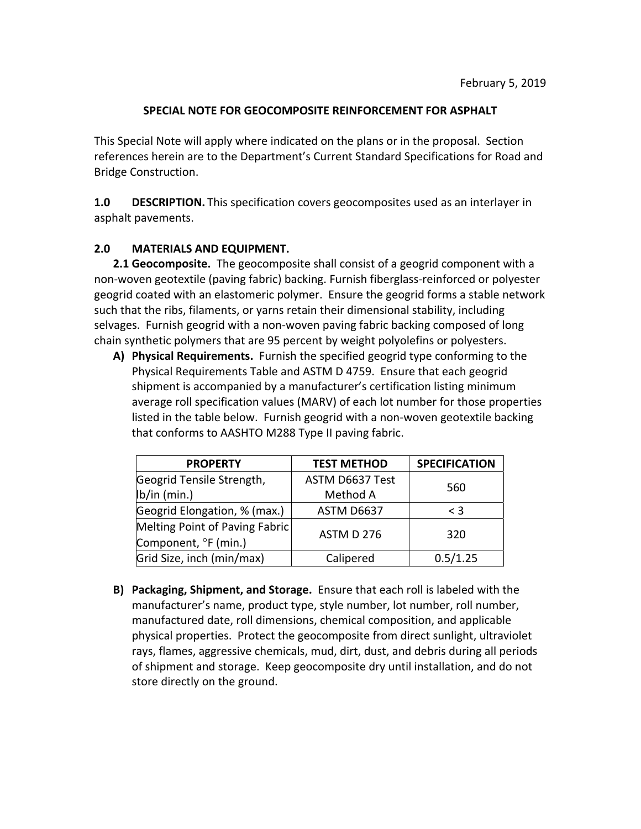## **SPECIAL NOTE FOR GEOCOMPOSITE REINFORCEMENT FOR ASPHALT**

This Special Note will apply where indicated on the plans or in the proposal. Section references herein are to the Department's Current Standard Specifications for Road and Bridge Construction.

**1.0 DESCRIPTION.** This specification covers geocomposites used as an interlayer in asphalt pavements.

## **2.0 MATERIALS AND EQUIPMENT.**

**2.1 Geocomposite.** The geocomposite shall consist of a geogrid component with a non‐woven geotextile (paving fabric) backing. Furnish fiberglass‐reinforced or polyester geogrid coated with an elastomeric polymer. Ensure the geogrid forms a stable network such that the ribs, filaments, or yarns retain their dimensional stability, including selvages. Furnish geogrid with a non‐woven paving fabric backing composed of long chain synthetic polymers that are 95 percent by weight polyolefins or polyesters.

**A) Physical Requirements.** Furnish the specified geogrid type conforming to the Physical Requirements Table and ASTM D 4759. Ensure that each geogrid shipment is accompanied by a manufacturer's certification listing minimum average roll specification values (MARV) of each lot number for those properties listed in the table below. Furnish geogrid with a non‐woven geotextile backing that conforms to AASHTO M288 Type II paving fabric.

| <b>PROPERTY</b>                | <b>TEST METHOD</b> | <b>SPECIFICATION</b> |  |
|--------------------------------|--------------------|----------------------|--|
| Geogrid Tensile Strength,      | ASTM D6637 Test    |                      |  |
| lb/in (min.)                   | Method A           | 560                  |  |
| Geogrid Elongation, % (max.)   | ASTM D6637         | $\leq$ 3             |  |
| Melting Point of Paving Fabric | ASTM D 276         | 320                  |  |
| Component, °F (min.)           |                    |                      |  |
| Grid Size, inch (min/max)      | Calipered          | 0.5/1.25             |  |

**B) Packaging, Shipment, and Storage.** Ensure that each roll is labeled with the manufacturer's name, product type, style number, lot number, roll number, manufactured date, roll dimensions, chemical composition, and applicable physical properties. Protect the geocomposite from direct sunlight, ultraviolet rays, flames, aggressive chemicals, mud, dirt, dust, and debris during all periods of shipment and storage. Keep geocomposite dry until installation, and do not store directly on the ground.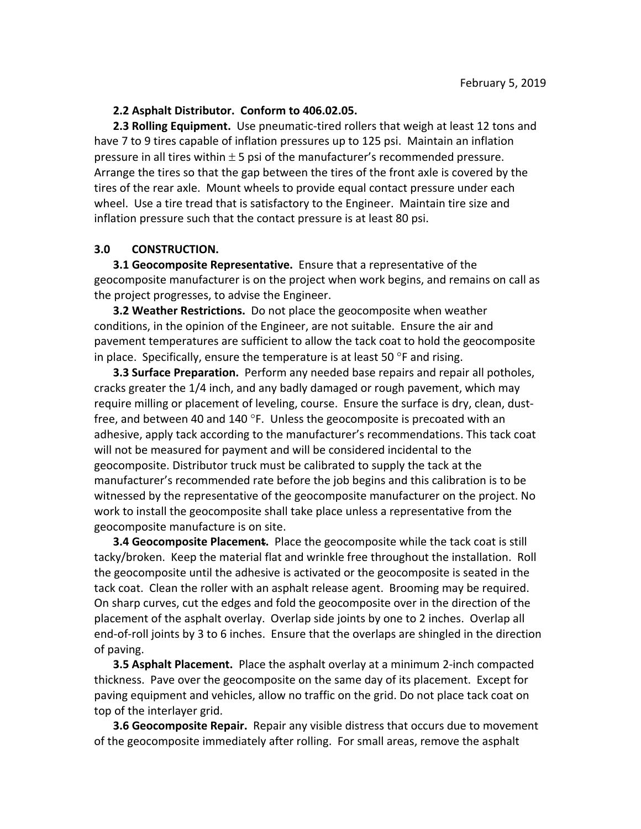## **2.2 Asphalt Distributor. Conform to 406.02.05.**

**2.3 Rolling Equipment.** Use pneumatic‐tired rollers that weigh at least 12 tons and have 7 to 9 tires capable of inflation pressures up to 125 psi. Maintain an inflation pressure in all tires within  $\pm$  5 psi of the manufacturer's recommended pressure. Arrange the tires so that the gap between the tires of the front axle is covered by the tires of the rear axle. Mount wheels to provide equal contact pressure under each wheel. Use a tire tread that is satisfactory to the Engineer. Maintain tire size and inflation pressure such that the contact pressure is at least 80 psi.

## **3.0 CONSTRUCTION.**

**3.1 Geocomposite Representative.** Ensure that a representative of the geocomposite manufacturer is on the project when work begins, and remains on call as the project progresses, to advise the Engineer.

**3.2 Weather Restrictions.** Do not place the geocomposite when weather conditions, in the opinion of the Engineer, are not suitable. Ensure the air and pavement temperatures are sufficient to allow the tack coat to hold the geocomposite in place. Specifically, ensure the temperature is at least 50  $\degree$ F and rising.

**3.3 Surface Preparation.** Perform any needed base repairs and repair all potholes, cracks greater the 1/4 inch, and any badly damaged or rough pavement, which may require milling or placement of leveling, course. Ensure the surface is dry, clean, dust‐ free, and between 40 and 140  $\degree$ F. Unless the geocomposite is precoated with an adhesive, apply tack according to the manufacturer's recommendations. This tack coat will not be measured for payment and will be considered incidental to the geocomposite. Distributor truck must be calibrated to supply the tack at the manufacturer's recommended rate before the job begins and this calibration is to be witnessed by the representative of the geocomposite manufacturer on the project. No work to install the geocomposite shall take place unless a representative from the geocomposite manufacture is on site.

**3.4 Geocomposite Placement.** Place the geocomposite while the tack coat is still tacky/broken. Keep the material flat and wrinkle free throughout the installation. Roll the geocomposite until the adhesive is activated or the geocomposite is seated in the tack coat. Clean the roller with an asphalt release agent. Brooming may be required. On sharp curves, cut the edges and fold the geocomposite over in the direction of the placement of the asphalt overlay. Overlap side joints by one to 2 inches. Overlap all end-of-roll joints by 3 to 6 inches. Ensure that the overlaps are shingled in the direction of paving.

**3.5 Asphalt Placement.** Place the asphalt overlay at a minimum 2‐inch compacted thickness. Pave over the geocomposite on the same day of its placement. Except for paving equipment and vehicles, allow no traffic on the grid. Do not place tack coat on top of the interlayer grid.

**3.6 Geocomposite Repair.** Repair any visible distress that occurs due to movement of the geocomposite immediately after rolling. For small areas, remove the asphalt